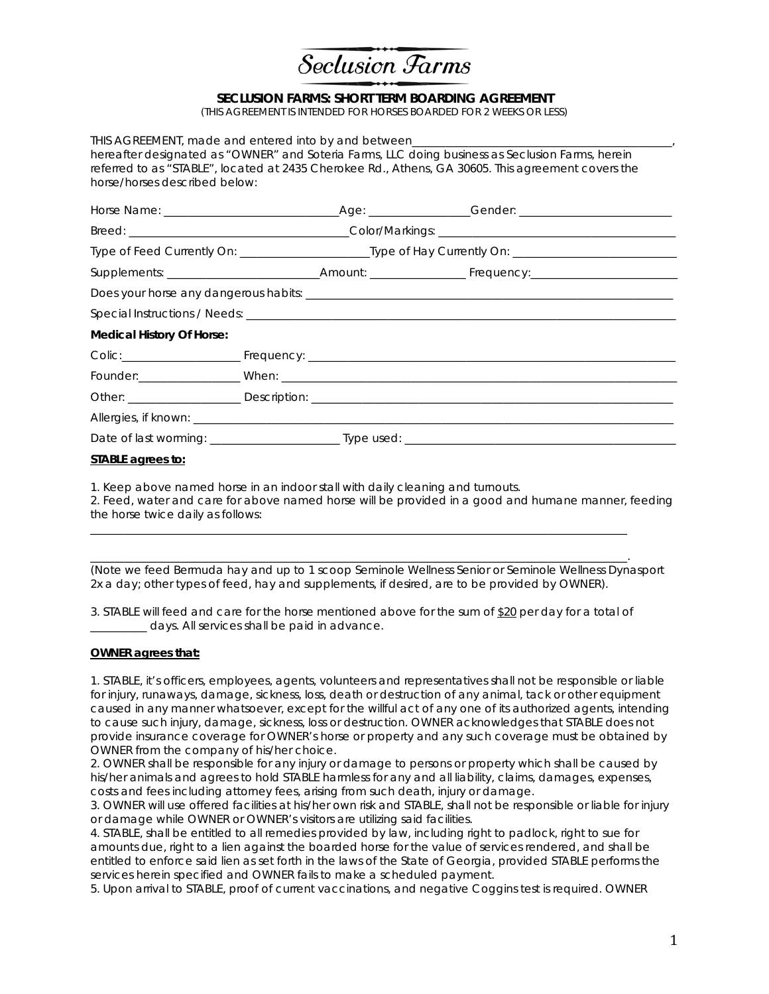

## **SECLUSION FARMS: SHORT TERM BOARDING AGREEMENT**

(THIS AGREEMENT IS INTENDED FOR HORSES BOARDED FOR 2 WEEKS OR LESS)

| horse/horses described below:    |  |                                                                                                                | THIS AGREEMENT, made and entered into by and between <b>Theorem</b> 2008 Section 2008 and the USA Control of Theorem 2008<br>hereafter designated as "OWNER" and Soteria Farms, LLC doing business as Seclusion Farms, herein<br>referred to as "STABLE", located at 2435 Cherokee Rd., Athens, GA 30605. This agreement covers the |
|----------------------------------|--|----------------------------------------------------------------------------------------------------------------|-------------------------------------------------------------------------------------------------------------------------------------------------------------------------------------------------------------------------------------------------------------------------------------------------------------------------------------|
|                                  |  |                                                                                                                |                                                                                                                                                                                                                                                                                                                                     |
|                                  |  |                                                                                                                |                                                                                                                                                                                                                                                                                                                                     |
|                                  |  | Type of Feed Currently On: ______________________________Type of Hay Currently On: ___________________________ |                                                                                                                                                                                                                                                                                                                                     |
|                                  |  |                                                                                                                |                                                                                                                                                                                                                                                                                                                                     |
|                                  |  |                                                                                                                |                                                                                                                                                                                                                                                                                                                                     |
|                                  |  |                                                                                                                |                                                                                                                                                                                                                                                                                                                                     |
| <b>Medical History Of Horse:</b> |  |                                                                                                                |                                                                                                                                                                                                                                                                                                                                     |
|                                  |  |                                                                                                                |                                                                                                                                                                                                                                                                                                                                     |
|                                  |  |                                                                                                                |                                                                                                                                                                                                                                                                                                                                     |
|                                  |  |                                                                                                                |                                                                                                                                                                                                                                                                                                                                     |
|                                  |  |                                                                                                                |                                                                                                                                                                                                                                                                                                                                     |
|                                  |  |                                                                                                                |                                                                                                                                                                                                                                                                                                                                     |
| STABLE agrees to:                |  |                                                                                                                |                                                                                                                                                                                                                                                                                                                                     |

1. Keep above named horse in an indoor stall with daily cleaning and turnouts.

2. Feed, water and care for above named horse will be provided in a good and humane manner, feeding the horse twice daily as follows:

(Note we feed Bermuda hay and up to 1 scoop Seminole Wellness Senior or Seminole Wellness Dynasport 2x a day; other types of feed, hay and supplements, if desired, are to be provided by OWNER).

3. STABLE will feed and care for the horse mentioned above for the sum of \$20 per day for a total of \_\_\_\_\_\_\_\_\_\_ days. All services shall be paid in advance.

 $\_$  ,  $\_$  ,  $\_$  ,  $\_$  ,  $\_$  ,  $\_$  ,  $\_$  ,  $\_$  ,  $\_$  ,  $\_$  ,  $\_$  ,  $\_$  ,  $\_$  ,  $\_$  ,  $\_$  ,  $\_$  ,  $\_$  ,  $\_$  ,  $\_$  ,  $\_$  ,  $\_$  ,  $\_$  ,  $\_$  ,  $\_$  ,  $\_$  ,  $\_$  ,  $\_$  ,  $\_$  ,  $\_$  ,  $\_$  ,  $\_$  ,  $\_$  ,  $\_$  ,  $\_$  ,  $\_$  ,  $\_$  ,  $\_$  ,

\_\_\_\_\_\_\_\_\_\_\_\_\_\_\_\_\_\_\_\_\_\_\_\_\_\_\_\_\_\_\_\_\_\_\_\_\_\_\_\_\_\_\_\_\_\_\_\_\_\_\_\_\_\_\_\_\_\_\_\_\_\_\_\_\_\_\_\_\_\_\_\_\_\_\_\_\_\_\_\_\_\_\_\_\_\_\_\_\_\_\_\_\_\_\_.

## **OWNER agrees that:**

1. STABLE, it's officers, employees, agents, volunteers and representatives shall not be responsible or liable for injury, runaways, damage, sickness, loss, death or destruction of any animal, tack or other equipment caused in any manner whatsoever, except for the willful act of any one of its authorized agents, intending to cause such injury, damage, sickness, loss or destruction. OWNER acknowledges that STABLE does not provide insurance coverage for OWNER's horse or property and any such coverage must be obtained by OWNER from the company of his/her choice.

2. OWNER shall be responsible for any injury or damage to persons or property which shall be caused by his/her animals and agrees to hold STABLE harmless for any and all liability, claims, damages, expenses, costs and fees including attorney fees, arising from such death, injury or damage.

3. OWNER will use offered facilities at his/her own risk and STABLE, shall not be responsible or liable for injury or damage while OWNER or OWNER's visitors are utilizing said facilities.

4. STABLE, shall be entitled to all remedies provided by law, including right to padlock, right to sue for amounts due, right to a lien against the boarded horse for the value of services rendered, and shall be entitled to enforce said lien as set forth in the laws of the State of Georgia, provided STABLE performs the services herein specified and OWNER fails to make a scheduled payment.

5. Upon arrival to STABLE, proof of current vaccinations, and negative Coggins test is required. OWNER